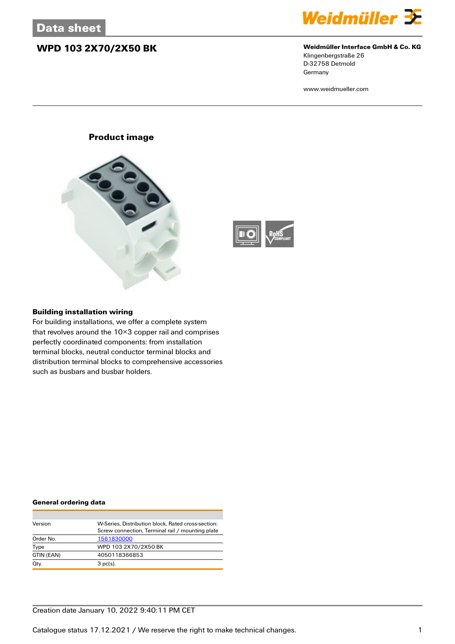### **WPD 103 2X70/2X50 BK Weidmüller Interface GmbH & Co. KG**



# Klingenbergstraße 26

D-32758 Detmold **Germany** 

www.weidmueller.com

### **Product image**





### **Building installation wiring**

For building installations, we offer a complete system that revolves around the 10×3 copper rail and comprises perfectly coordinated components: from installation terminal blocks, neutral conductor terminal blocks and distribution terminal blocks to comprehensive accessories such as busbars and busbar holders.

#### **General ordering data**

| Version    | W-Series, Distribution block, Rated cross-section: |
|------------|----------------------------------------------------|
|            | Screw connection, Terminal rail / mounting plate   |
| Order No.  | 1561830000                                         |
| Type       | WPD 103 2X70/2X50 BK                               |
| GTIN (EAN) | 4050118366853                                      |
| Qty.       | $3$ pc(s).                                         |

### Creation date January 10, 2022 9:40:11 PM CET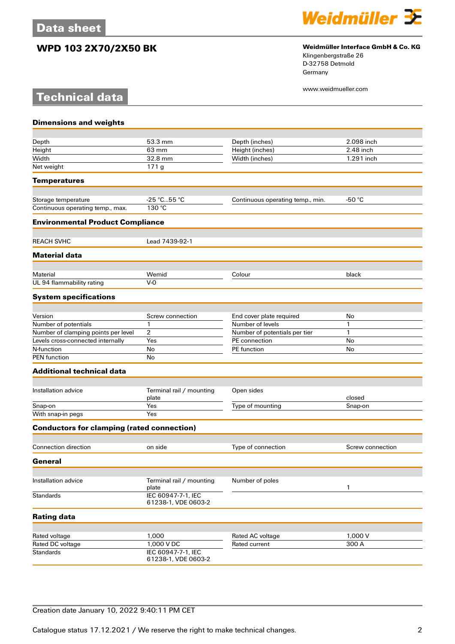**Technical data**



## **WPD 103 2X70/2X50 BK Weidmüller Interface GmbH & Co. KG**

Klingenbergstraße 26 D-32758 Detmold Germany

www.weidmueller.com

| <b>Dimensions and weights</b>                     |                                           |                                   |                  |
|---------------------------------------------------|-------------------------------------------|-----------------------------------|------------------|
|                                                   |                                           |                                   |                  |
| Depth                                             | 53.3 mm                                   | Depth (inches)                    | 2.098 inch       |
| Height                                            | 63 mm                                     | Height (inches)                   | 2.48 inch        |
| Width                                             | 32.8 mm                                   | Width (inches)                    | 1.291 inch       |
| Net weight                                        | 171g                                      |                                   |                  |
| <b>Temperatures</b>                               |                                           |                                   |                  |
| Storage temperature                               | $-25 °C55 °C$                             | Continuous operating temp., min.  | $-50 °C$         |
| Continuous operating temp., max.                  | 130 °C                                    |                                   |                  |
| <b>Environmental Product Compliance</b>           |                                           |                                   |                  |
| <b>REACH SVHC</b>                                 | Lead 7439-92-1                            |                                   |                  |
| <b>Material data</b>                              |                                           |                                   |                  |
|                                                   |                                           |                                   |                  |
| Material<br>UL 94 flammability rating             | Wemid<br>$V - Q$                          | Colour                            | black            |
| <b>System specifications</b>                      |                                           |                                   |                  |
|                                                   |                                           |                                   |                  |
| Version                                           | Screw connection                          | End cover plate required          | No               |
| Number of potentials                              | 1                                         | Number of levels                  | 1                |
| Number of clamping points per level               | 2                                         | Number of potentials per tier     | 1                |
| Levels cross-connected internally                 | Yes                                       | PE connection                     | No               |
| N-function<br><b>PEN</b> function                 | No<br>No                                  | PE function                       | No               |
| <b>Additional technical data</b>                  |                                           |                                   |                  |
|                                                   |                                           |                                   |                  |
| Installation advice                               | Terminal rail / mounting<br>plate         | Open sides                        | closed           |
| Snap-on                                           | Yes                                       | Type of mounting                  | Snap-on          |
| With snap-in pegs                                 | Yes                                       |                                   |                  |
| <b>Conductors for clamping (rated connection)</b> |                                           |                                   |                  |
| Connection direction                              | on side                                   | Type of connection                | Screw connection |
| General                                           |                                           |                                   |                  |
|                                                   |                                           |                                   |                  |
| Installation advice                               | Terminal rail / mounting<br>plate         | Number of poles                   | 1                |
| <b>Standards</b>                                  | IEC 60947-7-1, IEC<br>61238-1, VDE 0603-2 |                                   |                  |
| <b>Rating data</b>                                |                                           |                                   |                  |
|                                                   | 1,000                                     |                                   | 1,000 V          |
| Rated voltage<br>Rated DC voltage                 | 1,000 V DC                                | Rated AC voltage<br>Rated current | 300 A            |
| <b>Standards</b>                                  | IEC 60947-7-1, IEC                        |                                   |                  |
|                                                   | 61238-1, VDE 0603-2                       |                                   |                  |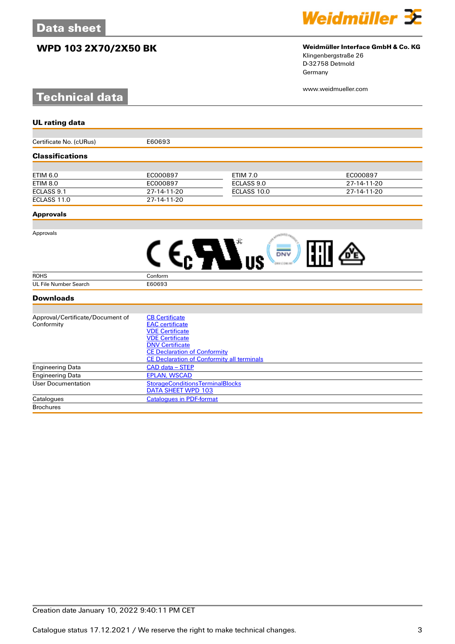## **WPD 103 2X70/2X50 BK Weidmüller Interface GmbH & Co. KG**

# **Technical data**



# Klingenbergstraße 26

D-32758 Detmold Germany

www.weidmueller.com

| <b>UL rating data</b>            |                                                                     |                 |             |
|----------------------------------|---------------------------------------------------------------------|-----------------|-------------|
|                                  |                                                                     |                 |             |
| Certificate No. (cURus)          | E60693                                                              |                 |             |
| <b>Classifications</b>           |                                                                     |                 |             |
|                                  |                                                                     |                 |             |
| <b>ETIM 6.0</b>                  | EC000897                                                            | <b>ETIM 7.0</b> | EC000897    |
| <b>ETIM 8.0</b>                  | EC000897                                                            | ECLASS 9.0      | 27-14-11-20 |
| ECLASS 9.1                       | 27-14-11-20                                                         | ECLASS 10.0     | 27-14-11-20 |
| ECLASS 11.0                      | 27-14-11-20                                                         |                 |             |
| <b>Approvals</b>                 |                                                                     |                 |             |
| Approvals                        |                                                                     |                 |             |
|                                  |                                                                     | DNV             |             |
| <b>ROHS</b>                      | Conform                                                             |                 |             |
| <b>UL File Number Search</b>     | E60693                                                              |                 |             |
| <b>Downloads</b>                 |                                                                     |                 |             |
| Approval/Certificate/Document of | <b>CB Certificate</b>                                               |                 |             |
| Conformity                       | <b>EAC</b> certificate                                              |                 |             |
|                                  | <b>VDE Certificate</b>                                              |                 |             |
|                                  | <b>VDE Certificate</b>                                              |                 |             |
|                                  | <b>DNV Certificate</b>                                              |                 |             |
|                                  | <b>CE Declaration of Conformity</b>                                 |                 |             |
|                                  | <b>CE Declaration of Conformity all terminals</b>                   |                 |             |
| <b>Engineering Data</b>          | CAD data - STEP                                                     |                 |             |
| <b>Engineering Data</b>          | <b>EPLAN, WSCAD</b>                                                 |                 |             |
| <b>User Documentation</b>        | <b>StorageConditionsTerminalBlocks</b><br><b>DATA SHEET WPD 103</b> |                 |             |

Catalogues [Catalogues in PDF-format](http://catalog.weidmueller.com/assets/LINK/Catalog.html)

**Brochures**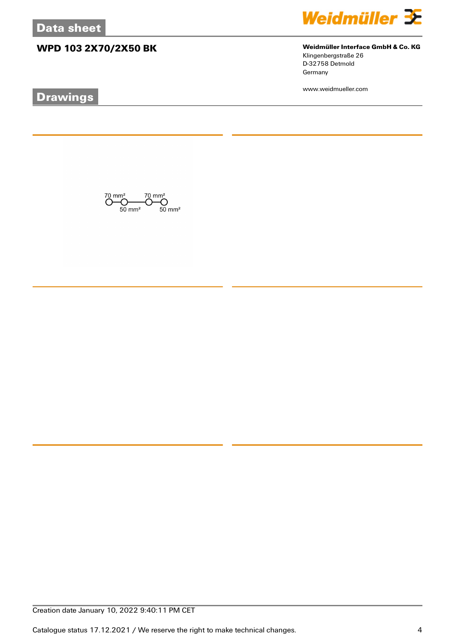# **WPD 103 2X70/2X50 BK Weidmüller Interface GmbH & Co. KG**

 $\bigodot_{50 \text{ mm}^2}^{70 \text{ mm}^2} \bigodot_{50 \text{ mm}^2}^{70 \text{ mm}^2}$ 

# **Drawings**



Klingenbergstraße 26 D-32758 Detmold Germany

www.weidmueller.com

Creation date January 10, 2022 9:40:11 PM CET

Catalogue status 17.12.2021 / We reserve the right to make technical changes. 4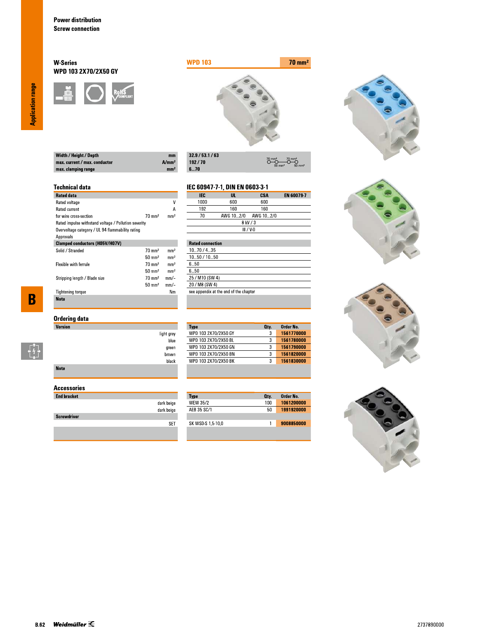### **W-Series** WPD 103 2X70/2X50 GY





 $\overline{\overset{70}{\bigcirc}}$ 

**CSA**<br>600

 $O \rightarrow O$ 

EN 60079-7

| Width / Height / Depth        | mm                |
|-------------------------------|-------------------|
| max. current / max. conductor | A/mm <sup>2</sup> |
| max. clamping range           | mm <sup>2</sup>   |

| 32.9/53.1/63 |
|--------------|
| 192/70       |
| 670          |

IEC

 $1000$ 

light grey blue

green  $brown$ black IEC 60947-7-1, DIN EN 0603-3-1

 $\frac{UL}{600}$ 

### **Technical data**

| <b>Rated data</b>                                    |                   |                 |
|------------------------------------------------------|-------------------|-----------------|
| Rated voltage                                        |                   | ٧               |
| <b>Rated current</b>                                 |                   | А               |
| for wire cross-section                               | $70 \text{ mm}^2$ | mm <sup>2</sup> |
| Rated impulse withstand voltage / Pollution severity |                   |                 |
| Overvoltage category / UL 94 flammability rating     |                   |                 |
| Approvals                                            |                   |                 |
| <b>Clamped conductors (H05V/H07V)</b>                |                   |                 |
| Solid / Stranded                                     | $70 \text{ mm}^2$ | mm <sup>2</sup> |
|                                                      | $50 \text{ mm}^2$ | mm <sup>2</sup> |
| <b>Flexible with ferrule</b>                         | $70 \text{ mm}^2$ | mm <sup>2</sup> |
|                                                      | $50 \text{ mm}^2$ | mm <sup>2</sup> |
| Stripping length / Blade size                        | $70 \text{ mm}^2$ | mm/-            |
|                                                      | $50 \text{ mm}^2$ | mm/-            |
| <b>Tightening torque</b>                             |                   | Nm              |
| <b>Note</b>                                          |                   |                 |

 $\overline{\mathbf{B}}$ 

 $\begin{bmatrix} 1 \\ 1 \\ 1 \end{bmatrix}$ 

| Ordering data |  |
|---------------|--|
| Version       |  |

| <b>Note</b> |  |  |  |
|-------------|--|--|--|

### **Accessories**

| <b>End bracket</b> |            |
|--------------------|------------|
|                    | dark beige |
|                    | dark beige |
| <b>Screwdriver</b> |            |
|                    |            |
|                    |            |

| 192                     | 160       | 160         |  |
|-------------------------|-----------|-------------|--|
| 70                      | AWG 102/0 | AWG 10…2/0  |  |
|                         |           | 8 kV / 3    |  |
|                         |           | $III / V-0$ |  |
|                         |           |             |  |
| <b>Rated connection</b> |           |             |  |
|                         |           |             |  |

| 1070/435                               |
|----------------------------------------|
| 1050 / 1050                            |
| 650                                    |
| 6 5Ո                                   |
| 25 / M10 (SW 4)                        |
| 20 / M8 (SW 4)                         |
| see appendix at the end of the chapter |
|                                        |

| 3<br>3 | 1561770000 |
|--------|------------|
|        |            |
|        | 1561780000 |
| 3      | 1561790000 |
| 3      | 1561820000 |
| 3      | 1561830000 |
|        |            |

| <b>Type</b>       | Oty. | Order No.  |
|-------------------|------|------------|
| <b>WEW 35/2</b>   | 100  | 1061200000 |
| AFB 35 SC/1       | 50   | 1991920000 |
|                   |      |            |
| SK WSD-S 1,5-10,0 |      | 9008850000 |